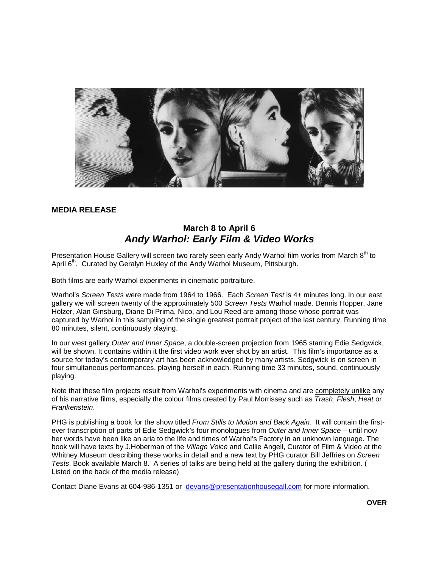

### **MEDIA RELEASE**

### **March 8 to April 6** *Andy Warhol: Early Film & Video Works*

Presentation House Gallery will screen two rarely seen early Andy Warhol film works from March 8<sup>th</sup> to April 6<sup>th</sup>. Curated by Geralyn Huxley of the Andy Warhol Museum, Pittsburgh.

Both films are early Warhol experiments in cinematic portraiture.

Warhol's *Screen Tests* were made from 1964 to 1966. Each *Screen Test* is 4+ minutes long. In our east gallery we will screen twenty of the approximately 500 *Screen Tests* Warhol made. Dennis Hopper, Jane Holzer, Alan Ginsburg, Diane Di Prima, Nico, and Lou Reed are among those whose portrait was captured by Warhol in this sampling of the single greatest portrait project of the last century. Running time 80 minutes, silent, continuously playing.

In our west gallery *Outer and Inner Space*, a double-screen projection from 1965 starring Edie Sedgwick, will be shown. It contains within it the first video work ever shot by an artist. This film's importance as a source for today's contemporary art has been acknowledged by many artists. Sedgwick is on screen in four simultaneous performances, playing herself in each. Running time 33 minutes, sound, continuously playing.

Note that these film projects result from Warhol's experiments with cinema and are completely unlike any of his narrative films, especially the colour films created by Paul Morrissey such as *Trash*, *Flesh*, *Heat* or *Frankenstein*.

PHG is publishing a book for the show titled *From Stills to Motion and Back Again*. It will contain the firstever transcription of parts of Edie Sedgwick's four monologues from *Outer and Inner Space* – until now her words have been like an aria to the life and times of Warhol's Factory in an unknown language. The book will have texts by J.Hoberman of the *Village Voice* and Callie Angell, Curator of Film & Video at the Whitney Museum describing these works in detail and a new text by PHG curator Bill Jeffries on *Screen Tests*. Book available March 8. A series of talks are being held at the gallery during the exhibition. ( Listed on the back of the media release)

Contact Diane Evans at 604-986-1351 or [devans@presentationhousegall.com](mailto:devans@presentationhousegall.com) for more information.